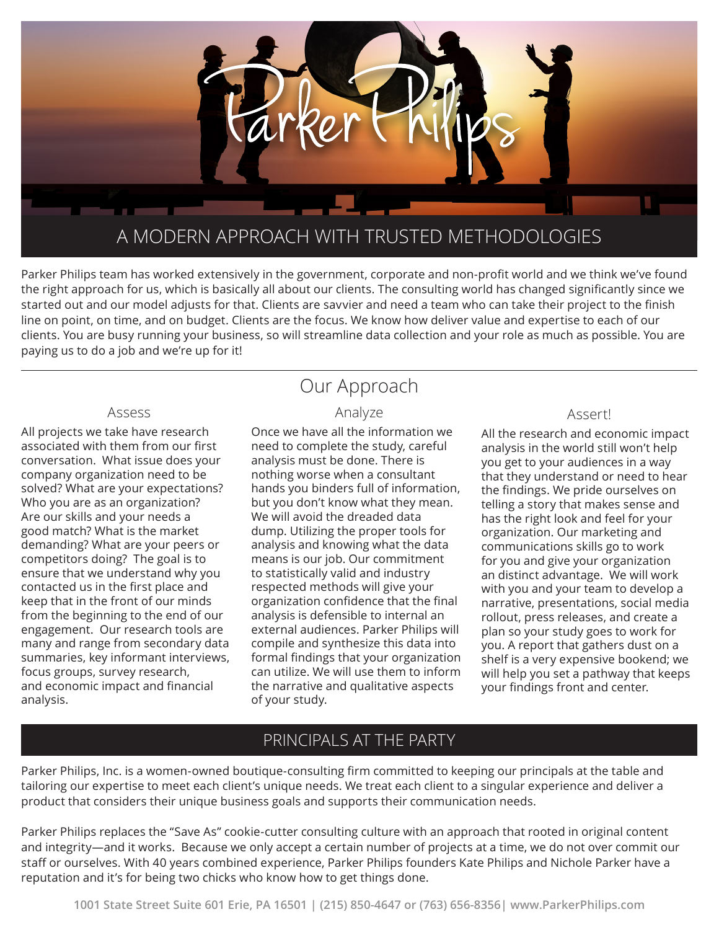

Parker Philips team has worked extensively in the government, corporate and non-profit world and we think we've found the right approach for us, which is basically all about our clients. The consulting world has changed significantly since we started out and our model adjusts for that. Clients are savvier and need a team who can take their project to the finish line on point, on time, and on budget. Clients are the focus. We know how deliver value and expertise to each of our clients. You are busy running your business, so will streamline data collection and your role as much as possible. You are paying us to do a job and we're up for it!

#### Assess

All projects we take have research associated with them from our first conversation. What issue does your company organization need to be solved? What are your expectations? Who you are as an organization? Are our skills and your needs a good match? What is the market demanding? What are your peers or competitors doing? The goal is to ensure that we understand why you contacted us in the first place and keep that in the front of our minds from the beginning to the end of our engagement. Our research tools are many and range from secondary data summaries, key informant interviews, focus groups, survey research, and economic impact and financial analysis.

# Our Approach

### Analyze

Once we have all the information we need to complete the study, careful analysis must be done. There is nothing worse when a consultant hands you binders full of information, but you don't know what they mean. We will avoid the dreaded data dump. Utilizing the proper tools for analysis and knowing what the data means is our job. Our commitment to statistically valid and industry respected methods will give your organization confidence that the final analysis is defensible to internal an external audiences. Parker Philips will compile and synthesize this data into formal findings that your organization can utilize. We will use them to inform the narrative and qualitative aspects of your study.

#### Assert!

All the research and economic impact analysis in the world still won't help you get to your audiences in a way that they understand or need to hear the findings. We pride ourselves on telling a story that makes sense and has the right look and feel for your organization. Our marketing and communications skills go to work for you and give your organization an distinct advantage. We will work with you and your team to develop a narrative, presentations, social media rollout, press releases, and create a plan so your study goes to work for you. A report that gathers dust on a shelf is a very expensive bookend; we will help you set a pathway that keeps your findings front and center.

### PRINCIPALS AT THE PARTY

Parker Philips, Inc. is a women-owned boutique-consulting firm committed to keeping our principals at the table and tailoring our expertise to meet each client's unique needs. We treat each client to a singular experience and deliver a product that considers their unique business goals and supports their communication needs.

Parker Philips replaces the "Save As" cookie-cutter consulting culture with an approach that rooted in original content and integrity—and it works. Because we only accept a certain number of projects at a time, we do not over commit our staff or ourselves. With 40 years combined experience, Parker Philips founders Kate Philips and Nichole Parker have a reputation and it's for being two chicks who know how to get things done.